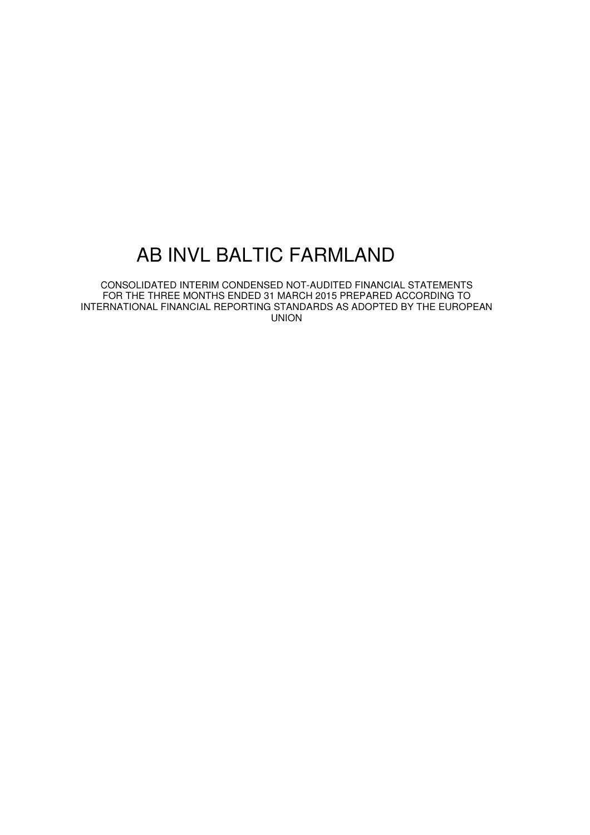CONSOLIDATED INTERIM CONDENSED NOT-AUDITED FINANCIAL STATEMENTS FOR THE THREE MONTHS ENDED 31 MARCH 2015 PREPARED ACCORDING TO INTERNATIONAL FINANCIAL REPORTING STANDARDS AS ADOPTED BY THE EUROPEAN UNION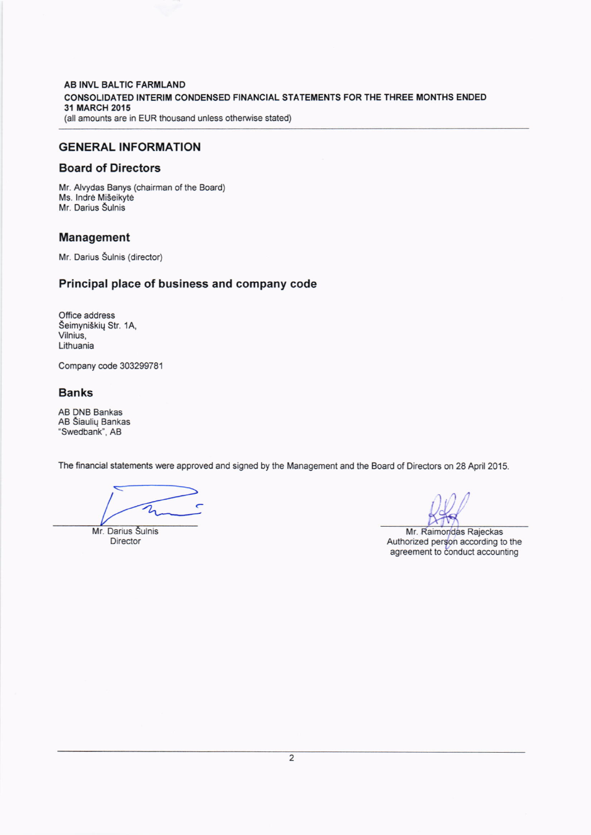AB INVL BALTIC FARMLAND CONSOLIDATED INTERIM CONDENSED FINANCIAL STATEMENTS FOR THE THREE MONTHS ENDED 31 MARCH 2015 (all amounts are in EUR thousand unless otherwise stated)

## GENERAL INFORMATION

## Board of Directors

Mr. Alvydas Banys (chairman of the Board) Ms. lndre Miseikyte Mr. Darius Šulnis

### Management

Mr. Darius Šulnis (director)

## Principal place of business and company code

Office address Seimyniskiq Str. 1A, Vilnius, Lithuania

Company code 303299781

### Banks

AB DNB Bankas AB Siauliq Bankas 'Swedbank', AB

The financial statements were approved and signed by the Management and the Board of Directors on 28 April 2015.

2

Mr. Darius Šulnis **Director** 

Mr. Raimondas Rajeckas Authorized pergon according to the agreement to conduct accounting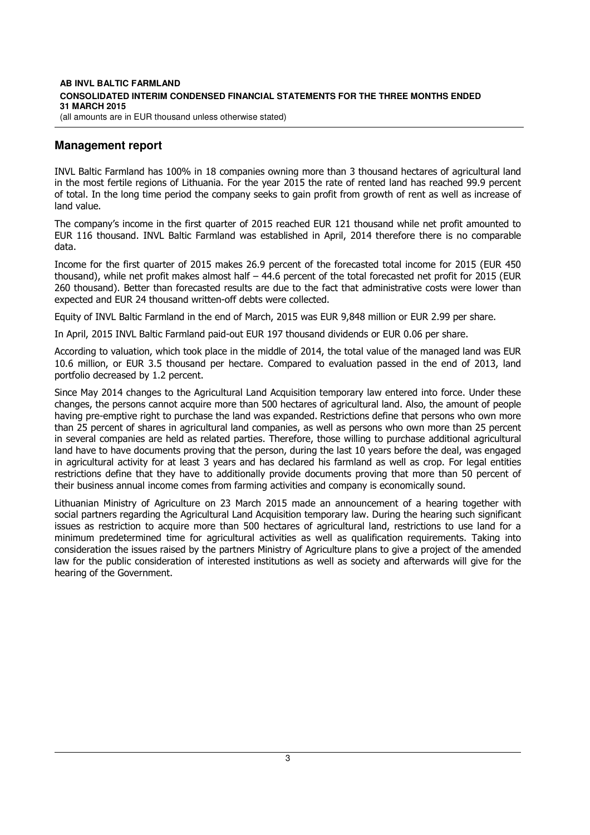#### **AB INVL BALTIC FARMLAND CONSOLIDATED INTERIM CONDENSED FINANCIAL STATEMENTS FOR THE THREE MONTHS ENDED 31 MARCH 2015**  (all amounts are in EUR thousand unless otherwise stated)

# **Management report**

INVL Baltic Farmland has 100% in 18 companies owning more than 3 thousand hectares of agricultural land in the most fertile regions of Lithuania. For the year 2015 the rate of rented land has reached 99.9 percent of total. In the long time period the company seeks to gain profit from growth of rent as well as increase of land value.

The company's income in the first quarter of 2015 reached EUR 121 thousand while net profit amounted to EUR 116 thousand. INVL Baltic Farmland was established in April, 2014 therefore there is no comparable data.

Income for the first quarter of 2015 makes 26.9 percent of the forecasted total income for 2015 (EUR 450 thousand), while net profit makes almost half – 44.6 percent of the total forecasted net profit for 2015 (EUR 260 thousand). Better than forecasted results are due to the fact that administrative costs were lower than expected and EUR 24 thousand written-off debts were collected.

Equity of INVL Baltic Farmland in the end of March, 2015 was EUR 9,848 million or EUR 2.99 per share.

In April, 2015 INVL Baltic Farmland paid-out EUR 197 thousand dividends or EUR 0.06 per share.

According to valuation, which took place in the middle of 2014, the total value of the managed land was EUR 10.6 million, or EUR 3.5 thousand per hectare. Compared to evaluation passed in the end of 2013, land portfolio decreased by 1.2 percent.

Since May 2014 changes to the Agricultural Land Acquisition temporary law entered into force. Under these changes, the persons cannot acquire more than 500 hectares of agricultural land. Also, the amount of people having pre-emptive right to purchase the land was expanded. Restrictions define that persons who own more than 25 percent of shares in agricultural land companies, as well as persons who own more than 25 percent in several companies are held as related parties. Therefore, those willing to purchase additional agricultural land have to have documents proving that the person, during the last 10 years before the deal, was engaged in agricultural activity for at least 3 years and has declared his farmland as well as crop. For legal entities restrictions define that they have to additionally provide documents proving that more than 50 percent of their business annual income comes from farming activities and company is economically sound.

Lithuanian Ministry of Agriculture on 23 March 2015 made an announcement of a hearing together with social partners regarding the Agricultural Land Acquisition temporary law. During the hearing such significant issues as restriction to acquire more than 500 hectares of agricultural land, restrictions to use land for a minimum predetermined time for agricultural activities as well as qualification requirements. Taking into consideration the issues raised by the partners Ministry of Agriculture plans to give a project of the amended law for the public consideration of interested institutions as well as society and afterwards will give for the hearing of the Government.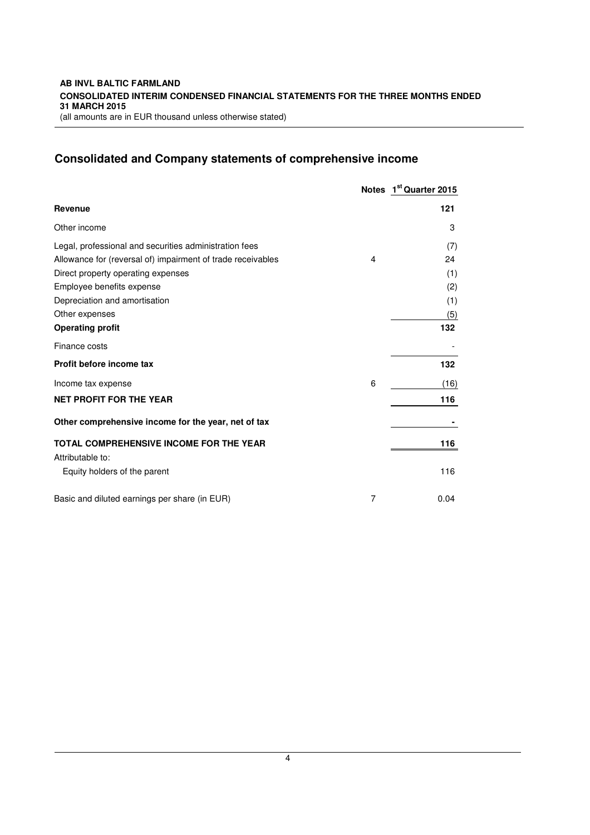# **Consolidated and Company statements of comprehensive income**

|                                                             |   | Notes 1 <sup>st</sup> Quarter 2015 |
|-------------------------------------------------------------|---|------------------------------------|
| <b>Revenue</b>                                              |   | 121                                |
| Other income                                                |   | 3                                  |
| Legal, professional and securities administration fees      |   | (7)                                |
| Allowance for (reversal of) impairment of trade receivables | 4 | 24                                 |
| Direct property operating expenses                          |   | (1)                                |
| Employee benefits expense                                   |   | (2)                                |
| Depreciation and amortisation                               |   | (1)                                |
| Other expenses                                              |   | (5)                                |
| <b>Operating profit</b>                                     |   | 132                                |
| Finance costs                                               |   |                                    |
| Profit before income tax                                    |   | 132                                |
| Income tax expense                                          | 6 | (16)                               |
| <b>NET PROFIT FOR THE YEAR</b>                              |   | 116                                |
| Other comprehensive income for the year, net of tax         |   |                                    |
| <b>TOTAL COMPREHENSIVE INCOME FOR THE YEAR</b>              |   | 116                                |
| Attributable to:                                            |   |                                    |
| Equity holders of the parent                                |   | 116                                |
| Basic and diluted earnings per share (in EUR)               | 7 | 0.04                               |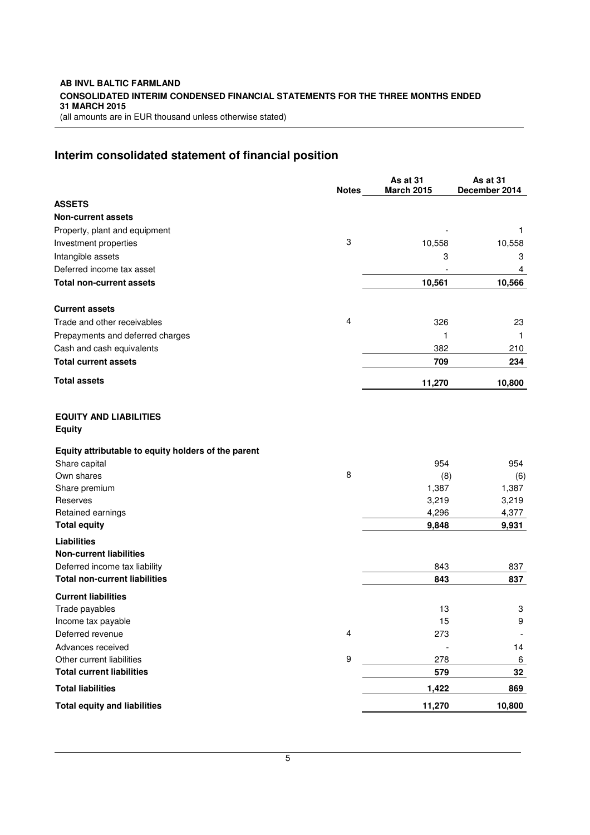#### **AB INVL BALTIC FARMLAND CONSOLIDATED INTERIM CONDENSED FINANCIAL STATEMENTS FOR THE THREE MONTHS ENDED 31 MARCH 2015**  (all amounts are in EUR thousand unless otherwise stated)

# **Interim consolidated statement of financial position**

|                                                      |              | As at 31          | As at 31      |
|------------------------------------------------------|--------------|-------------------|---------------|
| <b>ASSETS</b>                                        | <b>Notes</b> | <b>March 2015</b> | December 2014 |
| <b>Non-current assets</b>                            |              |                   |               |
| Property, plant and equipment                        |              |                   | 1             |
| Investment properties                                | 3            | 10,558            | 10,558        |
| Intangible assets                                    |              | 3                 | 3             |
| Deferred income tax asset                            |              |                   | 4             |
| <b>Total non-current assets</b>                      |              | 10,561            | 10,566        |
| <b>Current assets</b>                                |              |                   |               |
| Trade and other receivables                          | 4            | 326               | 23            |
| Prepayments and deferred charges                     |              | 1                 | 1             |
| Cash and cash equivalents                            |              | 382               | 210           |
| <b>Total current assets</b>                          |              | 709               | 234           |
| <b>Total assets</b>                                  |              | 11,270            | 10,800        |
| <b>EQUITY AND LIABILITIES</b><br><b>Equity</b>       |              |                   |               |
| Equity attributable to equity holders of the parent  |              |                   |               |
| Share capital                                        |              | 954               | 954           |
| Own shares                                           | 8            | (8)               | (6)           |
| Share premium                                        |              | 1,387             | 1,387         |
| Reserves                                             |              | 3,219             | 3,219         |
| Retained earnings<br><b>Total equity</b>             |              | 4,296             | 4,377         |
|                                                      |              | 9,848             | 9,931         |
| <b>Liabilities</b><br><b>Non-current liabilities</b> |              |                   |               |
| Deferred income tax liability                        |              | 843               | 837           |
| <b>Total non-current liabilities</b>                 |              | 843               | 837           |
| <b>Current liabilities</b>                           |              |                   |               |
| Trade payables                                       |              | 13                | 3             |
| Income tax payable                                   |              | 15                | 9             |
| Deferred revenue                                     | 4            | 273               |               |
| Advances received                                    |              |                   | 14            |
| Other current liabilities                            | 9            | 278               | 6             |
| <b>Total current liabilities</b>                     |              | 579               | 32            |
| <b>Total liabilities</b>                             |              | 1,422             | 869           |
| <b>Total equity and liabilities</b>                  |              | 11,270            | 10,800        |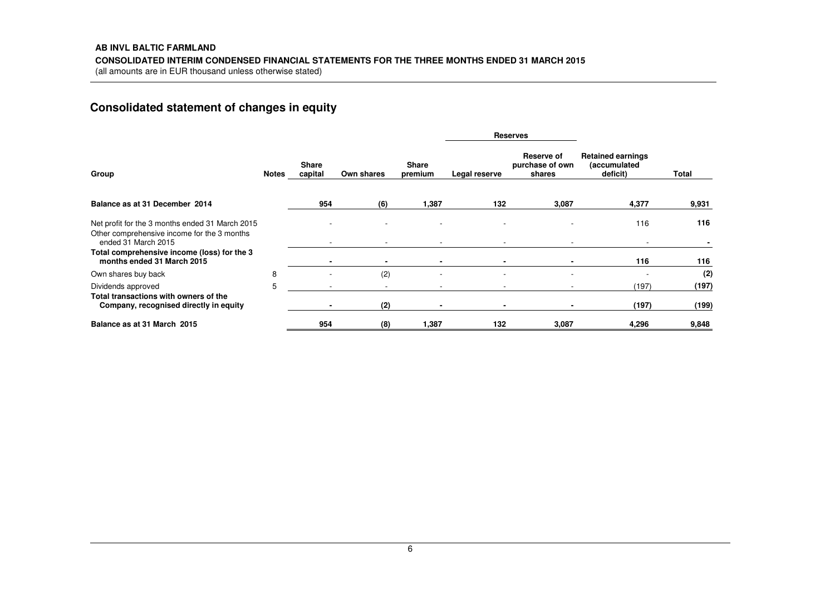# **Consolidated statement of changes in equity**

|                                                                                 |       |                         |                |                         |               | <b>Reserves</b>                         |                                                      |       |
|---------------------------------------------------------------------------------|-------|-------------------------|----------------|-------------------------|---------------|-----------------------------------------|------------------------------------------------------|-------|
| Group                                                                           | Notes | <b>Share</b><br>capital | Own shares     | <b>Share</b><br>premium | Legal reserve | Reserve of<br>purchase of own<br>shares | <b>Retained earnings</b><br>(accumulated<br>deficit) | Total |
| Balance as at 31 December 2014                                                  |       | 954                     | (6)            | 1,387                   | 132           | 3,087                                   | 4,377                                                | 9,931 |
| Net profit for the 3 months ended 31 March 2015                                 |       |                         |                |                         |               |                                         | 116                                                  | 116   |
| Other comprehensive income for the 3 months<br>ended 31 March 2015              |       |                         |                |                         |               |                                         |                                                      |       |
| Total comprehensive income (loss) for the 3<br>months ended 31 March 2015       |       |                         | $\blacksquare$ | $\blacksquare$          |               |                                         | 116                                                  | 116   |
| Own shares buy back                                                             | 8     |                         | (2)            |                         | ۰             |                                         |                                                      | (2)   |
| Dividends approved                                                              | 5     |                         |                |                         |               |                                         | (197)                                                | (197) |
| Total transactions with owners of the<br>Company, recognised directly in equity |       |                         | (2)            |                         |               |                                         | (197)                                                | (199) |
| Balance as at 31 March 2015                                                     |       | 954                     | (8)            | 1,387                   | 132           | 3,087                                   | 4,296                                                | 9,848 |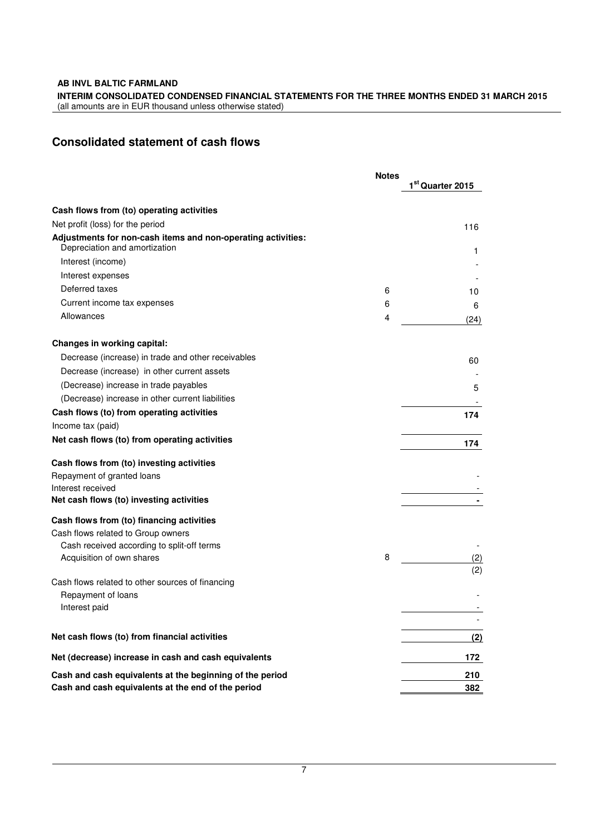**INTERIM CONSOLIDATED CONDENSED FINANCIAL STATEMENTS FOR THE THREE MONTHS ENDED 31 MARCH 2015**  (all amounts are in EUR thousand unless otherwise stated)

# **Consolidated statement of cash flows**

|                                                                                               | <b>Notes</b> | 1st Quarter 2015 |
|-----------------------------------------------------------------------------------------------|--------------|------------------|
| Cash flows from (to) operating activities                                                     |              |                  |
| Net profit (loss) for the period                                                              |              | 116              |
| Adjustments for non-cash items and non-operating activities:<br>Depreciation and amortization |              | 1.               |
| Interest (income)                                                                             |              |                  |
| Interest expenses                                                                             |              |                  |
| Deferred taxes                                                                                | 6            | 10               |
| Current income tax expenses                                                                   | 6            | 6                |
| Allowances                                                                                    | 4            | (24)             |
| <b>Changes in working capital:</b>                                                            |              |                  |
| Decrease (increase) in trade and other receivables                                            |              | 60               |
| Decrease (increase) in other current assets                                                   |              |                  |
| (Decrease) increase in trade payables                                                         |              | 5                |
| (Decrease) increase in other current liabilities                                              |              |                  |
| Cash flows (to) from operating activities                                                     |              | 174              |
| Income tax (paid)                                                                             |              |                  |
| Net cash flows (to) from operating activities                                                 |              | 174              |
| Cash flows from (to) investing activities                                                     |              |                  |
| Repayment of granted loans                                                                    |              |                  |
| Interest received                                                                             |              |                  |
| Net cash flows (to) investing activities                                                      |              |                  |
| Cash flows from (to) financing activities<br>Cash flows related to Group owners               |              |                  |
| Cash received according to split-off terms                                                    |              |                  |
| Acquisition of own shares                                                                     | 8            | (2)              |
|                                                                                               |              | (2)              |
| Cash flows related to other sources of financing                                              |              |                  |
| Repayment of loans                                                                            |              |                  |
| Interest paid                                                                                 |              |                  |
| Net cash flows (to) from financial activities                                                 |              | (2)              |
| Net (decrease) increase in cash and cash equivalents                                          |              | 172              |
| Cash and cash equivalents at the beginning of the period                                      |              | 210              |
| Cash and cash equivalents at the end of the period                                            |              | 382              |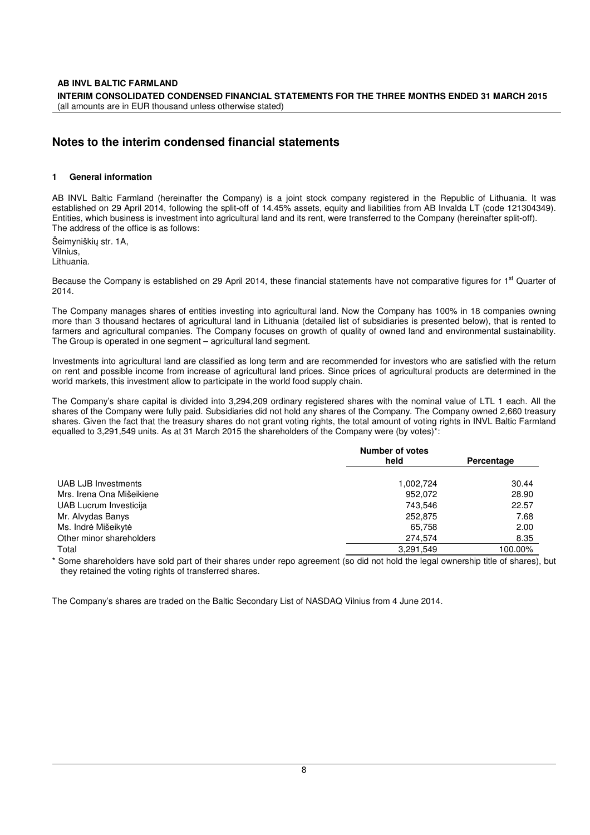# **Notes to the interim condensed financial statements**

### **1 General information**

AB INVL Baltic Farmland (hereinafter the Company) is a joint stock company registered in the Republic of Lithuania. It was established on 29 April 2014, following the split-off of 14.45% assets, equity and liabilities from AB Invalda LT (code 121304349). Entities, which business is investment into agricultural land and its rent, were transferred to the Company (hereinafter split-off). The address of the office is as follows:

Šeimyniškių str. 1A, Vilnius, Lithuania.

Because the Company is established on 29 April 2014, these financial statements have not comparative figures for 1<sup>st</sup> Quarter of 2014.

The Company manages shares of entities investing into agricultural land. Now the Company has 100% in 18 companies owning more than 3 thousand hectares of agricultural land in Lithuania (detailed list of subsidiaries is presented below), that is rented to farmers and agricultural companies. The Company focuses on growth of quality of owned land and environmental sustainability. The Group is operated in one segment – agricultural land segment.

Investments into agricultural land are classified as long term and are recommended for investors who are satisfied with the return on rent and possible income from increase of agricultural land prices. Since prices of agricultural products are determined in the world markets, this investment allow to participate in the world food supply chain.

The Company's share capital is divided into 3,294,209 ordinary registered shares with the nominal value of LTL 1 each. All the shares of the Company were fully paid. Subsidiaries did not hold any shares of the Company. The Company owned 2,660 treasury shares. Given the fact that the treasury shares do not grant voting rights, the total amount of voting rights in INVL Baltic Farmland equalled to 3,291,549 units. As at 31 March 2015 the shareholders of the Company were (by votes)\*:

|                           | <b>Number of votes</b> |            |  |
|---------------------------|------------------------|------------|--|
|                           | held                   | Percentage |  |
| UAB LJB Investments       | 1,002,724              | 30.44      |  |
| Mrs. Irena Ona Mišeikiene | 952.072                | 28.90      |  |
| UAB Lucrum Investicija    | 743.546                | 22.57      |  |
| Mr. Alvydas Banys         | 252,875                | 7.68       |  |
| Ms. Indrė Mišeikytė       | 65,758                 | 2.00       |  |
| Other minor shareholders  | 274.574                | 8.35       |  |
| Total                     | 3,291,549              | 100.00%    |  |

Some shareholders have sold part of their shares under repo agreement (so did not hold the legal ownership title of shares), but they retained the voting rights of transferred shares.

The Company's shares are traded on the Baltic Secondary List of NASDAQ Vilnius from 4 June 2014.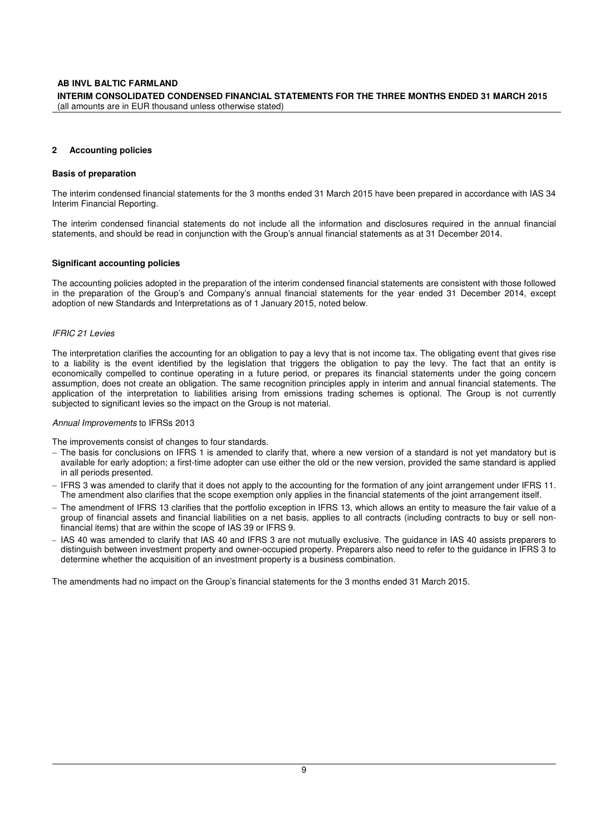#### **AB INVL BALTIC FARMLAND INTERIM CONSOLIDATED CONDENSED FINANCIAL STATEMENTS FOR THE THREE MONTHS ENDED 31 MARCH 2015**  (all amounts are in EUR thousand unless otherwise stated)

#### **2 Accounting policies**

#### **Basis of preparation**

The interim condensed financial statements for the 3 months ended 31 March 2015 have been prepared in accordance with IAS 34 Interim Financial Reporting.

The interim condensed financial statements do not include all the information and disclosures required in the annual financial statements, and should be read in conjunction with the Group's annual financial statements as at 31 December 2014.

#### **Significant accounting policies**

The accounting policies adopted in the preparation of the interim condensed financial statements are consistent with those followed in the preparation of the Group's and Company's annual financial statements for the year ended 31 December 2014, except adoption of new Standards and Interpretations as of 1 January 2015, noted below.

#### IFRIC 21 Levies

The interpretation clarifies the accounting for an obligation to pay a levy that is not income tax. The obligating event that gives rise to a liability is the event identified by the legislation that triggers the obligation to pay the levy. The fact that an entity is economically compelled to continue operating in a future period, or prepares its financial statements under the going concern assumption, does not create an obligation. The same recognition principles apply in interim and annual financial statements. The application of the interpretation to liabilities arising from emissions trading schemes is optional. The Group is not currently subjected to significant levies so the impact on the Group is not material.

#### Annual Improvements to IFRSs 2013

The improvements consist of changes to four standards.

- − The basis for conclusions on IFRS 1 is amended to clarify that, where a new version of a standard is not yet mandatory but is available for early adoption; a first-time adopter can use either the old or the new version, provided the same standard is applied in all periods presented.
- − IFRS 3 was amended to clarify that it does not apply to the accounting for the formation of any joint arrangement under IFRS 11. The amendment also clarifies that the scope exemption only applies in the financial statements of the joint arrangement itself.
- − The amendment of IFRS 13 clarifies that the portfolio exception in IFRS 13, which allows an entity to measure the fair value of a group of financial assets and financial liabilities on a net basis, applies to all contracts (including contracts to buy or sell nonfinancial items) that are within the scope of IAS 39 or IFRS 9.
- − IAS 40 was amended to clarify that IAS 40 and IFRS 3 are not mutually exclusive. The guidance in IAS 40 assists preparers to distinguish between investment property and owner-occupied property. Preparers also need to refer to the guidance in IFRS 3 to determine whether the acquisition of an investment property is a business combination.

The amendments had no impact on the Group's financial statements for the 3 months ended 31 March 2015.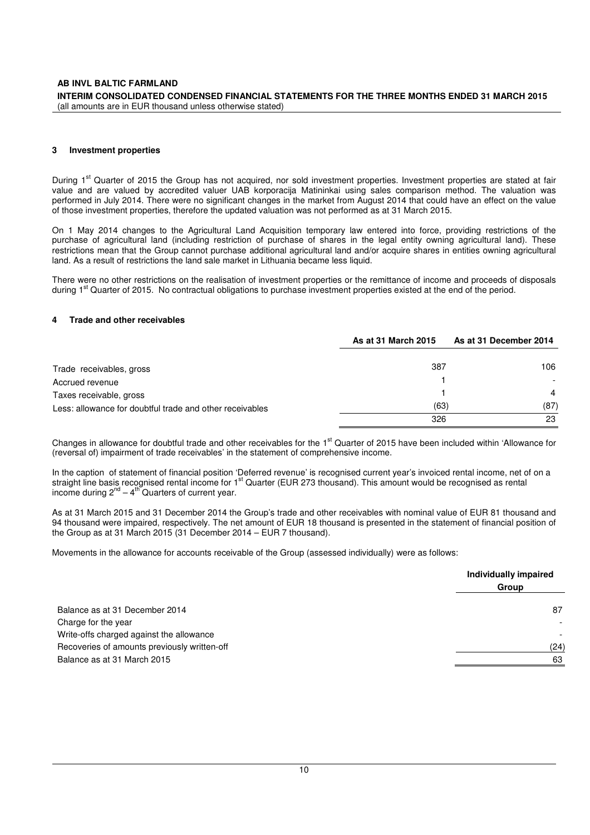#### **3 Investment properties**

During 1<sup>st</sup> Quarter of 2015 the Group has not acquired, nor sold investment properties. Investment properties are stated at fair value and are valued by accredited valuer UAB korporacija Matininkai using sales comparison method. The valuation was performed in July 2014. There were no significant changes in the market from August 2014 that could have an effect on the value of those investment properties, therefore the updated valuation was not performed as at 31 March 2015.

On 1 May 2014 changes to the Agricultural Land Acquisition temporary law entered into force, providing restrictions of the purchase of agricultural land (including restriction of purchase of shares in the legal entity owning agricultural land). These restrictions mean that the Group cannot purchase additional agricultural land and/or acquire shares in entities owning agricultural land. As a result of restrictions the land sale market in Lithuania became less liquid.

There were no other restrictions on the realisation of investment properties or the remittance of income and proceeds of disposals during 1<sup>st</sup> Quarter of 2015. No contractual obligations to purchase investment properties existed at the end of the period.

#### **4 Trade and other receivables**

|                                                          | As at 31 March 2015 | As at 31 December 2014 |
|----------------------------------------------------------|---------------------|------------------------|
| Trade receivables, gross                                 | 387                 | 106                    |
| Accrued revenue                                          |                     |                        |
| Taxes receivable, gross                                  |                     | $\overline{4}$         |
| Less: allowance for doubtful trade and other receivables | (63)                | (87)                   |
|                                                          | 326                 | 23                     |

Changes in allowance for doubtful trade and other receivables for the  $1<sup>st</sup>$  Quarter of 2015 have been included within 'Allowance for (reversal of) impairment of trade receivables' in the statement of comprehensive income.

In the caption of statement of financial position 'Deferred revenue' is recognised current year's invoiced rental income, net of on a straight line basis recognised rental income for 1<sup>st</sup> Quarter (EUR 273 thousand). This amount would be recognised as rental income during  $2^{nd} - 4^{th}$  Quarters of current year.

As at 31 March 2015 and 31 December 2014 the Group's trade and other receivables with nominal value of EUR 81 thousand and 94 thousand were impaired, respectively. The net amount of EUR 18 thousand is presented in the statement of financial position of the Group as at 31 March 2015 (31 December 2014 – EUR 7 thousand).

Movements in the allowance for accounts receivable of the Group (assessed individually) were as follows:

|                                              | Individually impaired |
|----------------------------------------------|-----------------------|
|                                              | Group                 |
| Balance as at 31 December 2014               | 87                    |
| Charge for the year                          |                       |
| Write-offs charged against the allowance     |                       |
| Recoveries of amounts previously written-off | (24)                  |
| Balance as at 31 March 2015                  | 63                    |
|                                              |                       |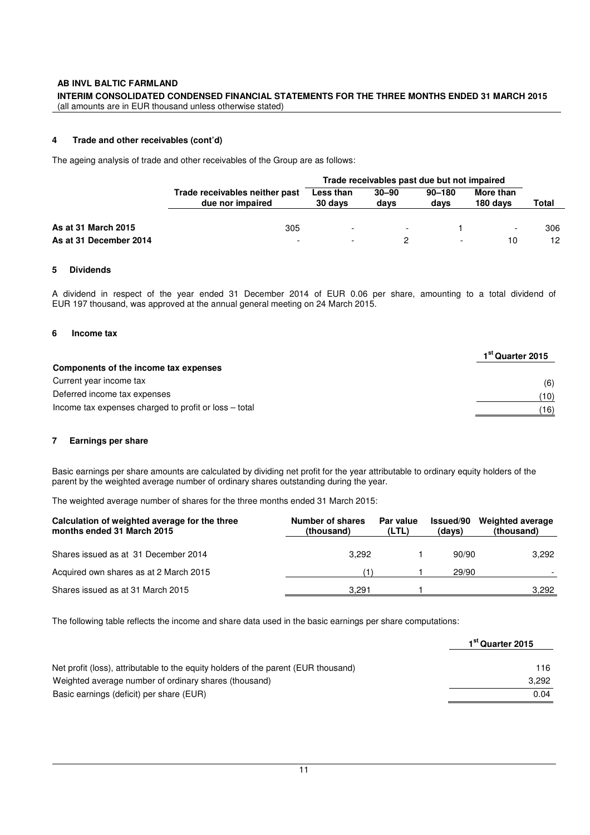#### **AB INVL BALTIC FARMLAND INTERIM CONSOLIDATED CONDENSED FINANCIAL STATEMENTS FOR THE THREE MONTHS ENDED 31 MARCH 2015**  (all amounts are in EUR thousand unless otherwise stated)

#### **4 Trade and other receivables (cont'd)**

The ageing analysis of trade and other receivables of the Group are as follows:

|                        | Trade receivables past due but not impaired        |                          |                   |                    |                       |       |  |
|------------------------|----------------------------------------------------|--------------------------|-------------------|--------------------|-----------------------|-------|--|
|                        | Trade receivables neither past<br>due nor impaired | Less than<br>30 days     | $30 - 90$<br>davs | $90 - 180$<br>days | More than<br>180 days | Total |  |
| As at 31 March 2015    | 305                                                | $\overline{\phantom{0}}$ | $\overline{a}$    |                    |                       | 306   |  |
| As at 31 December 2014 |                                                    |                          |                   |                    | 10                    | 12    |  |

#### **5 Dividends**

A dividend in respect of the year ended 31 December 2014 of EUR 0.06 per share, amounting to a total dividend of EUR 197 thousand, was approved at the annual general meeting on 24 March 2015.

#### **6 Income tax**

|                                                       | 1 <sup>st</sup> Quarter 2015 |
|-------------------------------------------------------|------------------------------|
| Components of the income tax expenses                 |                              |
| Current year income tax                               | (6)                          |
| Deferred income tax expenses                          | (10)                         |
| Income tax expenses charged to profit or loss – total | (16)                         |

#### **7 Earnings per share**

Basic earnings per share amounts are calculated by dividing net profit for the year attributable to ordinary equity holders of the parent by the weighted average number of ordinary shares outstanding during the year.

The weighted average number of shares for the three months ended 31 March 2015:

| Calculation of weighted average for the three<br>months ended 31 March 2015 | Number of shares<br>(thousand) | Par value<br>(LTL) | Issued/90<br>(days) | <b>Weighted average</b><br>(thousand) |
|-----------------------------------------------------------------------------|--------------------------------|--------------------|---------------------|---------------------------------------|
| Shares issued as at 31 December 2014                                        | 3.292                          |                    | 90/90               | 3.292                                 |
| Acquired own shares as at 2 March 2015                                      |                                |                    | 29/90               |                                       |
| Shares issued as at 31 March 2015                                           | 3.291                          |                    |                     | 3.292                                 |

The following table reflects the income and share data used in the basic earnings per share computations:

|                                                                                    | 1 <sup>st</sup> Quarter 2015 |  |
|------------------------------------------------------------------------------------|------------------------------|--|
| Net profit (loss), attributable to the equity holders of the parent (EUR thousand) | 116.                         |  |
| Weighted average number of ordinary shares (thousand)                              | 3.292                        |  |
| Basic earnings (deficit) per share (EUR)                                           | 0.04                         |  |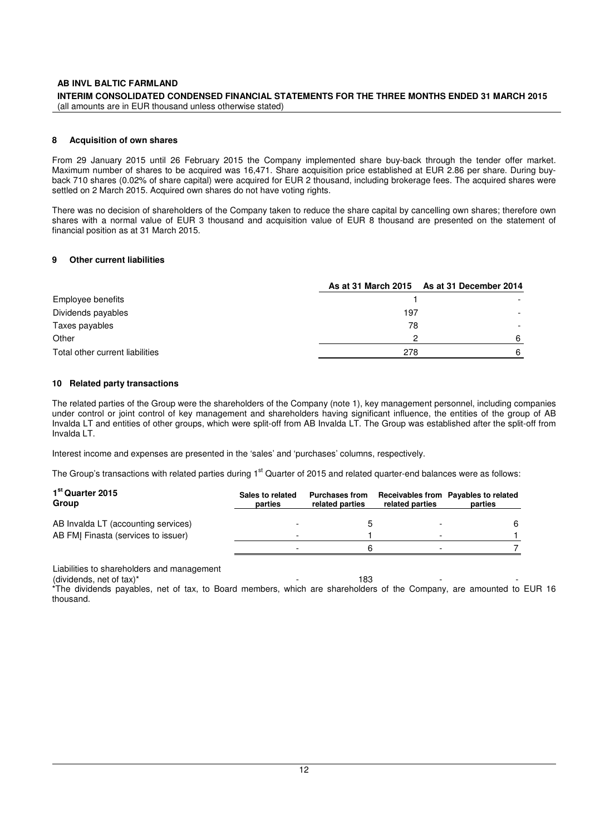#### **INTERIM CONSOLIDATED CONDENSED FINANCIAL STATEMENTS FOR THE THREE MONTHS ENDED 31 MARCH 2015**  (all amounts are in EUR thousand unless otherwise stated)

#### **8 Acquisition of own shares**

From 29 January 2015 until 26 February 2015 the Company implemented share buy-back through the tender offer market. Maximum number of shares to be acquired was 16,471. Share acquisition price established at EUR 2.86 per share. During buyback 710 shares (0.02% of share capital) were acquired for EUR 2 thousand, including brokerage fees. The acquired shares were settled on 2 March 2015. Acquired own shares do not have voting rights.

There was no decision of shareholders of the Company taken to reduce the share capital by cancelling own shares; therefore own shares with a normal value of EUR 3 thousand and acquisition value of EUR 8 thousand are presented on the statement of financial position as at 31 March 2015.

#### **9 Other current liabilities**

|                                 |     | As at 31 March 2015 As at 31 December 2014 |
|---------------------------------|-----|--------------------------------------------|
| Employee benefits               |     |                                            |
| Dividends payables              | 197 |                                            |
| Taxes payables                  | 78  |                                            |
| Other                           | ົ   |                                            |
| Total other current liabilities | 278 |                                            |

#### **10 Related party transactions**

The related parties of the Group were the shareholders of the Company (note 1), key management personnel, including companies under control or joint control of key management and shareholders having significant influence, the entities of the group of AB Invalda LT and entities of other groups, which were split-off from AB Invalda LT. The Group was established after the split-off from Invalda LT.

Interest income and expenses are presented in the 'sales' and 'purchases' columns, respectively.

The Group's transactions with related parties during 1<sup>st</sup> Quarter of 2015 and related quarter-end balances were as follows:

| 1 <sup>st</sup> Quarter 2015<br>Group | Sales to related<br>parties | <b>Purchases from</b><br>related parties | related parties          | Receivables from Payables to related<br>parties |
|---------------------------------------|-----------------------------|------------------------------------------|--------------------------|-------------------------------------------------|
| AB Invalda LT (accounting services)   |                             |                                          |                          | 6                                               |
| AB FMI Finasta (services to issuer)   |                             |                                          | $\overline{\phantom{0}}$ |                                                 |
|                                       |                             |                                          |                          |                                                 |

Liabilities to shareholders and management

 $\frac{183}{183}$ 

\*The dividends payables, net of tax, to Board members, which are shareholders of the Company, are amounted to EUR 16 thousand.